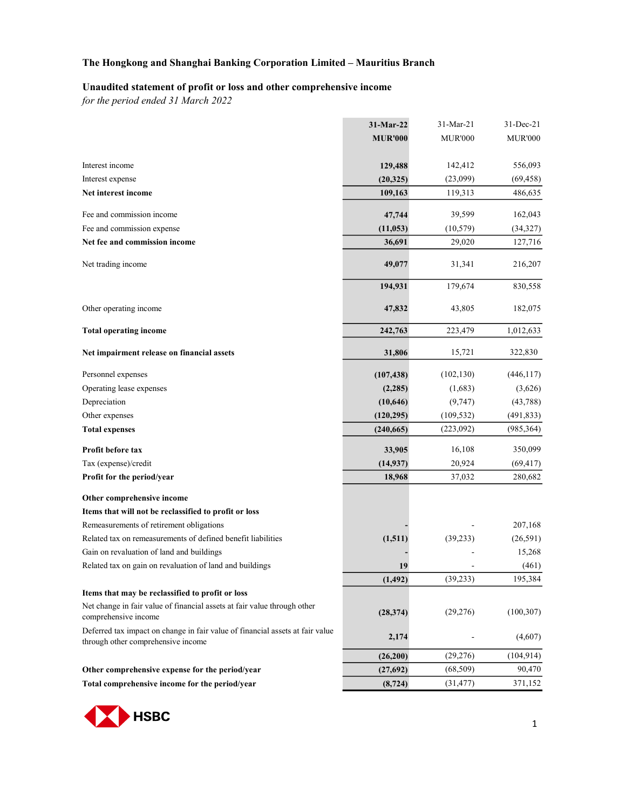#### Unaudited statement of profit or loss and other comprehensive income

for the period ended 31 March 2022

|                                                                                                                     | 31-Mar-22      | 31-Mar-21      | 31-Dec-21      |
|---------------------------------------------------------------------------------------------------------------------|----------------|----------------|----------------|
|                                                                                                                     | <b>MUR'000</b> | <b>MUR'000</b> | <b>MUR'000</b> |
|                                                                                                                     |                |                |                |
| Interest income                                                                                                     | 129,488        | 142,412        | 556,093        |
| Interest expense                                                                                                    | (20, 325)      | (23,099)       | (69, 458)      |
| Net interest income                                                                                                 | 109,163        | 119,313        | 486,635        |
| Fee and commission income                                                                                           | 47,744         | 39,599         | 162,043        |
| Fee and commission expense                                                                                          | (11, 053)      | (10, 579)      | (34,327)       |
| Net fee and commission income                                                                                       | 36,691         | 29,020         | 127,716        |
| Net trading income                                                                                                  | 49,077         | 31,341         | 216,207        |
|                                                                                                                     | 194,931        | 179,674        | 830,558        |
| Other operating income                                                                                              | 47,832         | 43,805         | 182,075        |
| <b>Total operating income</b>                                                                                       | 242,763        | 223,479        | 1,012,633      |
| Net impairment release on financial assets                                                                          | 31,806         | 15,721         | 322,830        |
| Personnel expenses                                                                                                  | (107, 438)     | (102, 130)     | (446,117)      |
| Operating lease expenses                                                                                            | (2, 285)       | (1,683)        | (3,626)        |
| Depreciation                                                                                                        | (10, 646)      | (9, 747)       | (43, 788)      |
| Other expenses                                                                                                      | (120, 295)     | (109, 532)     | (491, 833)     |
| <b>Total expenses</b>                                                                                               | (240, 665)     | (223,092)      | (985, 364)     |
| Profit before tax                                                                                                   | 33,905         | 16,108         | 350,099        |
| Tax (expense)/credit                                                                                                | (14, 937)      | 20,924         | (69, 417)      |
| Profit for the period/year                                                                                          | 18,968         | 37,032         | 280,682        |
| Other comprehensive income                                                                                          |                |                |                |
| Items that will not be reclassified to profit or loss                                                               |                |                |                |
| Remeasurements of retirement obligations                                                                            |                |                | 207,168        |
| Related tax on remeasurements of defined benefit liabilities                                                        | (1,511)        | (39, 233)      | (26,591)       |
| Gain on revaluation of land and buildings                                                                           |                |                | 15,268         |
| Related tax on gain on revaluation of land and buildings                                                            | 19             |                | (461)          |
|                                                                                                                     | (1, 492)       | (39, 233)      | 195,384        |
| Items that may be reclassified to profit or loss                                                                    |                |                |                |
| Net change in fair value of financial assets at fair value through other<br>comprehensive income                    | (28, 374)      | (29,276)       | (100, 307)     |
| Deferred tax impact on change in fair value of financial assets at fair value<br>through other comprehensive income | 2,174          |                | (4,607)        |
|                                                                                                                     | (26,200)       | (29, 276)      | (104, 914)     |
| Other comprehensive expense for the period/year                                                                     | (27, 692)      | (68, 509)      | 90,470         |
| Total comprehensive income for the period/year                                                                      | (8, 724)       | (31, 477)      | 371,152        |

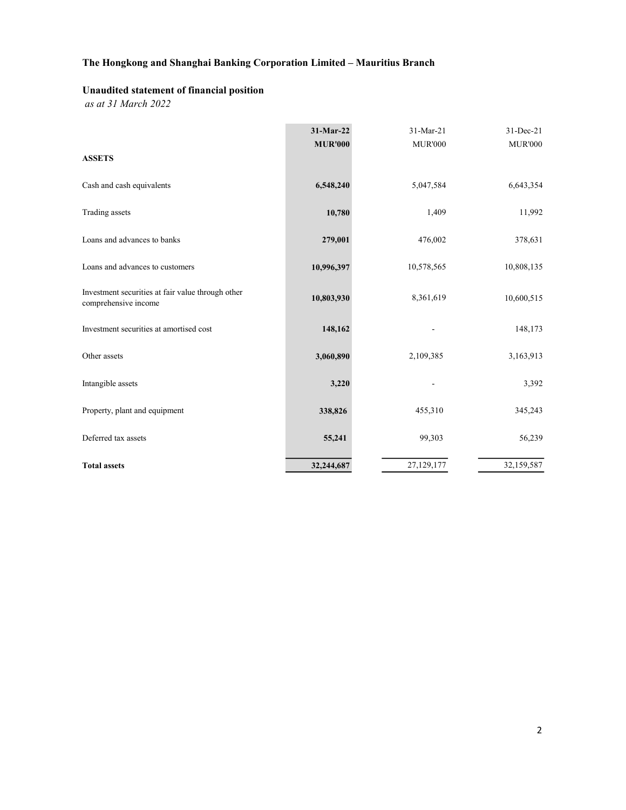## Unaudited statement of financial position

as at 31 March 2022

|                                                                           | $31-Mar-22$    | 31-Mar-21      | 31-Dec-21      |
|---------------------------------------------------------------------------|----------------|----------------|----------------|
| <b>ASSETS</b>                                                             | <b>MUR'000</b> | <b>MUR'000</b> | <b>MUR'000</b> |
| Cash and cash equivalents                                                 | 6,548,240      | 5,047,584      | 6,643,354      |
| Trading assets                                                            | 10,780         | 1,409          | 11,992         |
| Loans and advances to banks                                               | 279,001        | 476,002        | 378,631        |
| Loans and advances to customers                                           | 10,996,397     | 10,578,565     | 10,808,135     |
| Investment securities at fair value through other<br>comprehensive income | 10,803,930     | 8,361,619      | 10,600,515     |
| Investment securities at amortised cost                                   | 148,162        |                | 148,173        |
| Other assets                                                              | 3,060,890      | 2,109,385      | 3,163,913      |
| Intangible assets                                                         | 3,220          |                | 3,392          |
| Property, plant and equipment                                             | 338,826        | 455,310        | 345,243        |
| Deferred tax assets                                                       | 55,241         | 99,303         | 56,239         |
| <b>Total assets</b>                                                       | 32,244,687     | 27,129,177     | 32,159,587     |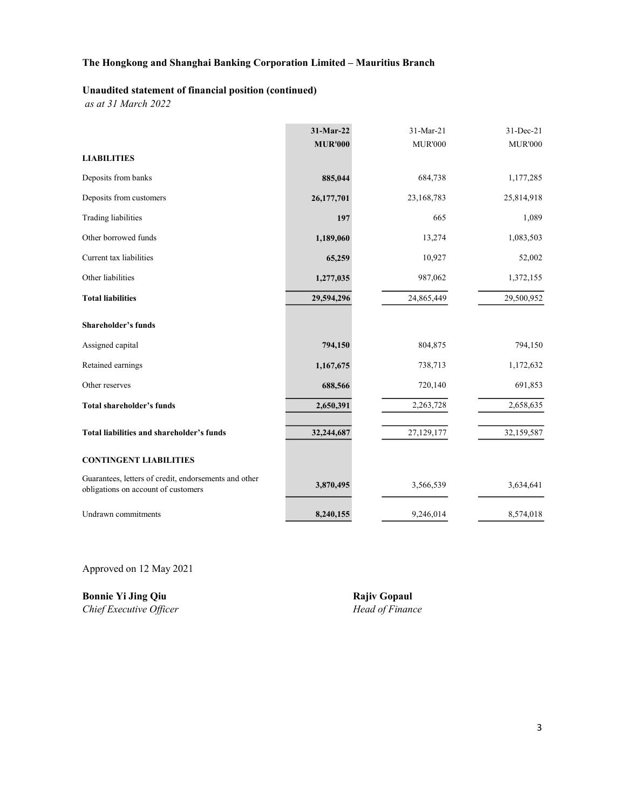#### Unaudited statement of financial position (continued)

as at 31 March 2022

|                                                                                              | 31-Mar-22      | 31-Mar-21      | 31-Dec-21      |
|----------------------------------------------------------------------------------------------|----------------|----------------|----------------|
|                                                                                              | <b>MUR'000</b> | <b>MUR'000</b> | <b>MUR'000</b> |
| <b>LIABILITIES</b>                                                                           |                |                |                |
| Deposits from banks                                                                          | 885,044        | 684,738        | 1,177,285      |
| Deposits from customers                                                                      | 26,177,701     | 23,168,783     | 25,814,918     |
| <b>Trading liabilities</b>                                                                   | 197            | 665            | 1,089          |
| Other borrowed funds                                                                         | 1,189,060      | 13,274         | 1,083,503      |
| Current tax liabilities                                                                      | 65,259         | 10,927         | 52,002         |
| Other liabilities                                                                            | 1,277,035      | 987,062        | 1,372,155      |
| <b>Total liabilities</b>                                                                     | 29,594,296     | 24,865,449     | 29,500,952     |
| <b>Shareholder's funds</b>                                                                   |                |                |                |
| Assigned capital                                                                             | 794,150        | 804,875        | 794,150        |
| Retained earnings                                                                            | 1,167,675      | 738,713        | 1,172,632      |
| Other reserves                                                                               | 688,566        | 720,140        | 691,853        |
| <b>Total shareholder's funds</b>                                                             | 2,650,391      | 2,263,728      | 2,658,635      |
| Total liabilities and shareholder's funds                                                    | 32,244,687     | 27,129,177     | 32,159,587     |
| <b>CONTINGENT LIABILITIES</b>                                                                |                |                |                |
| Guarantees, letters of credit, endorsements and other<br>obligations on account of customers | 3,870,495      | 3,566,539      | 3,634,641      |
| Undrawn commitments                                                                          | 8,240,155      | 9,246,014      | 8,574,018      |

Approved on 12 May 2021

**Bonnie Yi Jing Qiu Rajiv Gopaul**<br>
Chief Executive Officer<br>
Head of Finance Chief Executive Officer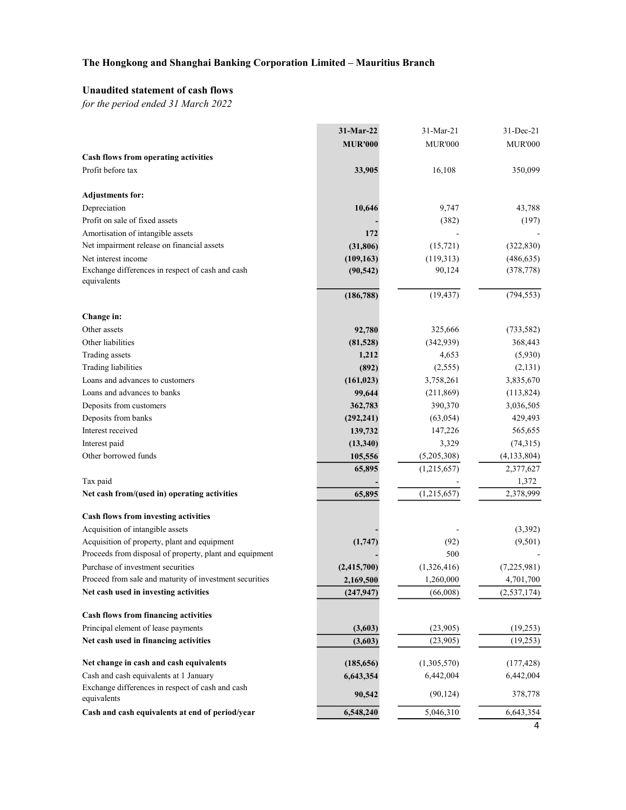### Unaudited statement of cash flows

for the period ended 31 March 2022

|                                                                                                         | 31-Mar-22      | 31-Mar-21      | 31-Dec-21      |
|---------------------------------------------------------------------------------------------------------|----------------|----------------|----------------|
|                                                                                                         | <b>MUR'000</b> | <b>MUR'000</b> | <b>MUR'000</b> |
| <b>Cash flows from operating activities</b>                                                             |                |                |                |
| Profit before tax                                                                                       | 33,905         | 16,108         | 350,099        |
| <b>Adjustments for:</b>                                                                                 |                |                |                |
| Depreciation                                                                                            | 10,646         | 9,747          | 43,788         |
| Profit on sale of fixed assets                                                                          |                | (382)          | (197)          |
| Amortisation of intangible assets                                                                       | 172            |                |                |
| Net impairment release on financial assets                                                              | (31, 806)      | (15, 721)      | (322, 830)     |
| Net interest income                                                                                     | (109, 163)     | (119,313)      | (486, 635)     |
| Exchange differences in respect of cash and cash<br>equivalents                                         | (90, 542)      | 90,124         | (378, 778)     |
|                                                                                                         | (186, 788)     | (19, 437)      | (794, 553)     |
| Change in:                                                                                              |                |                |                |
| Other assets                                                                                            | 92,780         | 325,666        | (733, 582)     |
| Other liabilities                                                                                       | (81,528)       | (342, 939)     | 368,443        |
| Trading assets                                                                                          | 1,212          | 4,653          | (5,930)        |
| <b>Trading liabilities</b>                                                                              | (892)          | (2,555)        | (2,131)        |
| Loans and advances to customers                                                                         | (161, 023)     | 3,758,261      | 3,835,670      |
| Loans and advances to banks                                                                             | 99,644         | (211, 869)     | (113, 824)     |
| Deposits from customers                                                                                 | 362,783        | 390,370        | 3,036,505      |
| Deposits from banks                                                                                     | (292, 241)     | (63, 054)      | 429,493        |
| Interest received                                                                                       | 139,732        | 147,226        | 565,655        |
| Interest paid                                                                                           | (13, 340)      | 3,329          | (74,315)       |
| Other borrowed funds                                                                                    | 105,556        | (5,205,308)    | (4, 133, 804)  |
|                                                                                                         | 65,895         | (1,215,657)    | 2,377,627      |
| Tax paid                                                                                                |                |                | 1,372          |
| Net cash from/(used in) operating activities                                                            | 65,895         | (1,215,657)    | 2,378,999      |
| Cash flows from investing activities                                                                    |                |                |                |
| Acquisition of intangible assets                                                                        |                |                | (3,392)        |
| Acquisition of property, plant and equipment<br>Proceeds from disposal of property, plant and equipment | (1,747)        | (92)<br>500    | (9,501)        |
| Purchase of investment securities                                                                       | (2,415,700)    | (1,326,416)    | (7,225,981)    |
| Proceed from sale and maturity of investment securities                                                 | 2,169,500      | 1,260,000      | 4,701,700      |
| Net cash used in investing activities                                                                   | (247, 947)     | (66,008)       | (2, 537, 174)  |
| Cash flows from financing activities                                                                    |                |                |                |
| Principal element of lease payments                                                                     | (3,603)        | (23,905)       | (19,253)       |
| Net cash used in financing activities                                                                   | (3,603)        | (23,905)       | (19,253)       |
| Net change in cash and cash equivalents                                                                 | (185, 656)     | (1,305,570)    | (177, 428)     |
| Cash and cash equivalents at 1 January                                                                  | 6,643,354      | 6,442,004      | 6,442,004      |
| Exchange differences in respect of cash and cash<br>equivalents                                         | 90,542         | (90, 124)      | 378,778        |
| Cash and cash equivalents at end of period/year                                                         | 6,548,240      | 5,046,310      | 6,643,354      |
|                                                                                                         |                |                | 4              |